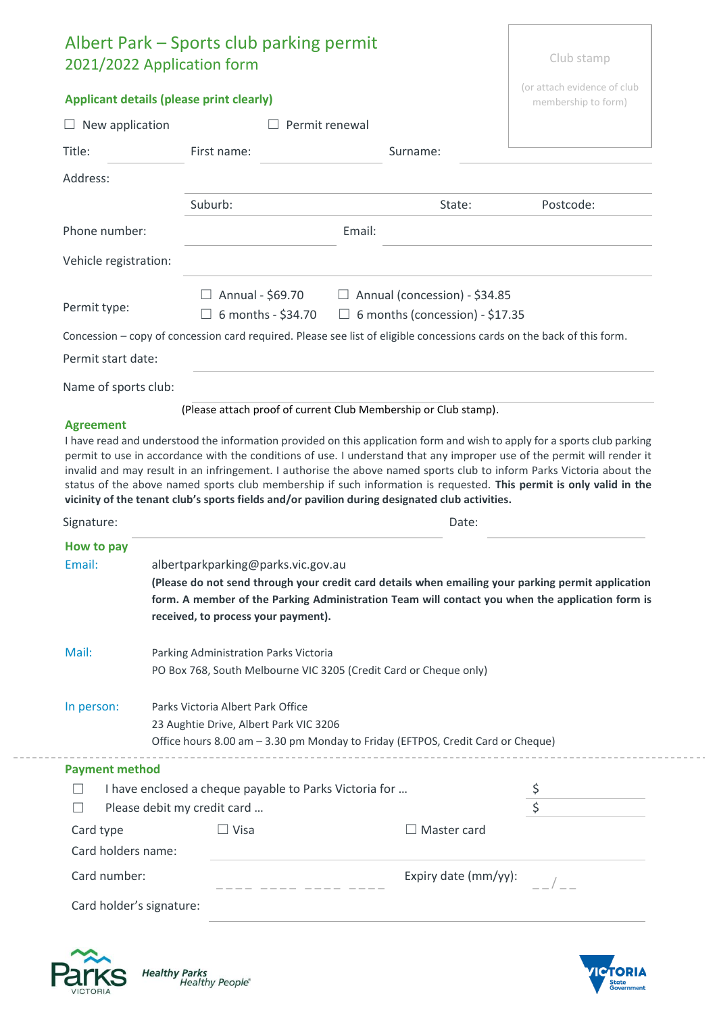| <b>Applicant details (please print clearly)</b><br>membership to form)<br>Permit renewal<br>$\Box$ New application<br>First name:<br>Surname:<br>Suburb:<br>Postcode:<br>State:<br>Email:<br>Vehicle registration:<br>Annual - \$69.70<br>$\Box$ Annual (concession) - \$34.85<br>6 months - \$34.70<br>$\Box$ 6 months (concession) - \$17.35<br>Concession - copy of concession card required. Please see list of eligible concessions cards on the back of this form.<br>Permit start date:<br>Name of sports club:<br>(Please attach proof of current Club Membership or Club stamp).<br><b>Agreement</b><br>I have read and understood the information provided on this application form and wish to apply for a sports club parking<br>permit to use in accordance with the conditions of use. I understand that any improper use of the permit will render it<br>invalid and may result in an infringement. I authorise the above named sports club to inform Parks Victoria about the<br>status of the above named sports club membership if such information is requested. This permit is only valid in the<br>vicinity of the tenant club's sports fields and/or pavilion during designated club activities.<br>Signature:<br>Date:<br>How to pay<br>albertparkparking@parks.vic.gov.au<br>received, to process your payment).<br>Mail:<br>Parking Administration Parks Victoria<br>PO Box 768, South Melbourne VIC 3205 (Credit Card or Cheque only)<br>Parks Victoria Albert Park Office<br>23 Aughtie Drive, Albert Park VIC 3206<br>Office hours 8.00 am - 3.30 pm Monday to Friday (EFTPOS, Credit Card or Cheque)<br><b>Payment method</b><br>I have enclosed a cheque payable to Parks Victoria for<br>$\overline{S}$<br>Please debit my credit card<br>$\Box$<br>$\Box$ Visa<br>Card type<br>Master card<br>Card holders name:<br>Expiry date (mm/yy):<br>Card number: |               | Albert Park – Sports club parking permit<br>2021/2022 Application form |                                                                                                                                                                                                       | Club stamp |  |  |
|------------------------------------------------------------------------------------------------------------------------------------------------------------------------------------------------------------------------------------------------------------------------------------------------------------------------------------------------------------------------------------------------------------------------------------------------------------------------------------------------------------------------------------------------------------------------------------------------------------------------------------------------------------------------------------------------------------------------------------------------------------------------------------------------------------------------------------------------------------------------------------------------------------------------------------------------------------------------------------------------------------------------------------------------------------------------------------------------------------------------------------------------------------------------------------------------------------------------------------------------------------------------------------------------------------------------------------------------------------------------------------------------------------------------------------------------------------------------------------------------------------------------------------------------------------------------------------------------------------------------------------------------------------------------------------------------------------------------------------------------------------------------------------------------------------------------------------------------------------------------------------------|---------------|------------------------------------------------------------------------|-------------------------------------------------------------------------------------------------------------------------------------------------------------------------------------------------------|------------|--|--|
|                                                                                                                                                                                                                                                                                                                                                                                                                                                                                                                                                                                                                                                                                                                                                                                                                                                                                                                                                                                                                                                                                                                                                                                                                                                                                                                                                                                                                                                                                                                                                                                                                                                                                                                                                                                                                                                                                          |               | (or attach evidence of club                                            |                                                                                                                                                                                                       |            |  |  |
|                                                                                                                                                                                                                                                                                                                                                                                                                                                                                                                                                                                                                                                                                                                                                                                                                                                                                                                                                                                                                                                                                                                                                                                                                                                                                                                                                                                                                                                                                                                                                                                                                                                                                                                                                                                                                                                                                          |               |                                                                        |                                                                                                                                                                                                       |            |  |  |
|                                                                                                                                                                                                                                                                                                                                                                                                                                                                                                                                                                                                                                                                                                                                                                                                                                                                                                                                                                                                                                                                                                                                                                                                                                                                                                                                                                                                                                                                                                                                                                                                                                                                                                                                                                                                                                                                                          | Title:        |                                                                        |                                                                                                                                                                                                       |            |  |  |
|                                                                                                                                                                                                                                                                                                                                                                                                                                                                                                                                                                                                                                                                                                                                                                                                                                                                                                                                                                                                                                                                                                                                                                                                                                                                                                                                                                                                                                                                                                                                                                                                                                                                                                                                                                                                                                                                                          | Address:      |                                                                        |                                                                                                                                                                                                       |            |  |  |
|                                                                                                                                                                                                                                                                                                                                                                                                                                                                                                                                                                                                                                                                                                                                                                                                                                                                                                                                                                                                                                                                                                                                                                                                                                                                                                                                                                                                                                                                                                                                                                                                                                                                                                                                                                                                                                                                                          |               |                                                                        |                                                                                                                                                                                                       |            |  |  |
|                                                                                                                                                                                                                                                                                                                                                                                                                                                                                                                                                                                                                                                                                                                                                                                                                                                                                                                                                                                                                                                                                                                                                                                                                                                                                                                                                                                                                                                                                                                                                                                                                                                                                                                                                                                                                                                                                          | Phone number: |                                                                        |                                                                                                                                                                                                       |            |  |  |
|                                                                                                                                                                                                                                                                                                                                                                                                                                                                                                                                                                                                                                                                                                                                                                                                                                                                                                                                                                                                                                                                                                                                                                                                                                                                                                                                                                                                                                                                                                                                                                                                                                                                                                                                                                                                                                                                                          |               |                                                                        |                                                                                                                                                                                                       |            |  |  |
|                                                                                                                                                                                                                                                                                                                                                                                                                                                                                                                                                                                                                                                                                                                                                                                                                                                                                                                                                                                                                                                                                                                                                                                                                                                                                                                                                                                                                                                                                                                                                                                                                                                                                                                                                                                                                                                                                          |               |                                                                        |                                                                                                                                                                                                       |            |  |  |
|                                                                                                                                                                                                                                                                                                                                                                                                                                                                                                                                                                                                                                                                                                                                                                                                                                                                                                                                                                                                                                                                                                                                                                                                                                                                                                                                                                                                                                                                                                                                                                                                                                                                                                                                                                                                                                                                                          | Permit type:  |                                                                        |                                                                                                                                                                                                       |            |  |  |
|                                                                                                                                                                                                                                                                                                                                                                                                                                                                                                                                                                                                                                                                                                                                                                                                                                                                                                                                                                                                                                                                                                                                                                                                                                                                                                                                                                                                                                                                                                                                                                                                                                                                                                                                                                                                                                                                                          |               |                                                                        |                                                                                                                                                                                                       |            |  |  |
|                                                                                                                                                                                                                                                                                                                                                                                                                                                                                                                                                                                                                                                                                                                                                                                                                                                                                                                                                                                                                                                                                                                                                                                                                                                                                                                                                                                                                                                                                                                                                                                                                                                                                                                                                                                                                                                                                          |               |                                                                        |                                                                                                                                                                                                       |            |  |  |
|                                                                                                                                                                                                                                                                                                                                                                                                                                                                                                                                                                                                                                                                                                                                                                                                                                                                                                                                                                                                                                                                                                                                                                                                                                                                                                                                                                                                                                                                                                                                                                                                                                                                                                                                                                                                                                                                                          |               |                                                                        |                                                                                                                                                                                                       |            |  |  |
|                                                                                                                                                                                                                                                                                                                                                                                                                                                                                                                                                                                                                                                                                                                                                                                                                                                                                                                                                                                                                                                                                                                                                                                                                                                                                                                                                                                                                                                                                                                                                                                                                                                                                                                                                                                                                                                                                          |               |                                                                        |                                                                                                                                                                                                       |            |  |  |
|                                                                                                                                                                                                                                                                                                                                                                                                                                                                                                                                                                                                                                                                                                                                                                                                                                                                                                                                                                                                                                                                                                                                                                                                                                                                                                                                                                                                                                                                                                                                                                                                                                                                                                                                                                                                                                                                                          |               |                                                                        |                                                                                                                                                                                                       |            |  |  |
|                                                                                                                                                                                                                                                                                                                                                                                                                                                                                                                                                                                                                                                                                                                                                                                                                                                                                                                                                                                                                                                                                                                                                                                                                                                                                                                                                                                                                                                                                                                                                                                                                                                                                                                                                                                                                                                                                          |               |                                                                        |                                                                                                                                                                                                       |            |  |  |
|                                                                                                                                                                                                                                                                                                                                                                                                                                                                                                                                                                                                                                                                                                                                                                                                                                                                                                                                                                                                                                                                                                                                                                                                                                                                                                                                                                                                                                                                                                                                                                                                                                                                                                                                                                                                                                                                                          | Email:        |                                                                        | (Please do not send through your credit card details when emailing your parking permit application<br>form. A member of the Parking Administration Team will contact you when the application form is |            |  |  |
|                                                                                                                                                                                                                                                                                                                                                                                                                                                                                                                                                                                                                                                                                                                                                                                                                                                                                                                                                                                                                                                                                                                                                                                                                                                                                                                                                                                                                                                                                                                                                                                                                                                                                                                                                                                                                                                                                          |               |                                                                        |                                                                                                                                                                                                       |            |  |  |
|                                                                                                                                                                                                                                                                                                                                                                                                                                                                                                                                                                                                                                                                                                                                                                                                                                                                                                                                                                                                                                                                                                                                                                                                                                                                                                                                                                                                                                                                                                                                                                                                                                                                                                                                                                                                                                                                                          | In person:    |                                                                        |                                                                                                                                                                                                       |            |  |  |
|                                                                                                                                                                                                                                                                                                                                                                                                                                                                                                                                                                                                                                                                                                                                                                                                                                                                                                                                                                                                                                                                                                                                                                                                                                                                                                                                                                                                                                                                                                                                                                                                                                                                                                                                                                                                                                                                                          |               |                                                                        |                                                                                                                                                                                                       |            |  |  |
|                                                                                                                                                                                                                                                                                                                                                                                                                                                                                                                                                                                                                                                                                                                                                                                                                                                                                                                                                                                                                                                                                                                                                                                                                                                                                                                                                                                                                                                                                                                                                                                                                                                                                                                                                                                                                                                                                          |               |                                                                        |                                                                                                                                                                                                       |            |  |  |
|                                                                                                                                                                                                                                                                                                                                                                                                                                                                                                                                                                                                                                                                                                                                                                                                                                                                                                                                                                                                                                                                                                                                                                                                                                                                                                                                                                                                                                                                                                                                                                                                                                                                                                                                                                                                                                                                                          |               |                                                                        |                                                                                                                                                                                                       |            |  |  |
|                                                                                                                                                                                                                                                                                                                                                                                                                                                                                                                                                                                                                                                                                                                                                                                                                                                                                                                                                                                                                                                                                                                                                                                                                                                                                                                                                                                                                                                                                                                                                                                                                                                                                                                                                                                                                                                                                          |               |                                                                        |                                                                                                                                                                                                       |            |  |  |
|                                                                                                                                                                                                                                                                                                                                                                                                                                                                                                                                                                                                                                                                                                                                                                                                                                                                                                                                                                                                                                                                                                                                                                                                                                                                                                                                                                                                                                                                                                                                                                                                                                                                                                                                                                                                                                                                                          |               |                                                                        |                                                                                                                                                                                                       |            |  |  |
|                                                                                                                                                                                                                                                                                                                                                                                                                                                                                                                                                                                                                                                                                                                                                                                                                                                                                                                                                                                                                                                                                                                                                                                                                                                                                                                                                                                                                                                                                                                                                                                                                                                                                                                                                                                                                                                                                          |               |                                                                        |                                                                                                                                                                                                       |            |  |  |
|                                                                                                                                                                                                                                                                                                                                                                                                                                                                                                                                                                                                                                                                                                                                                                                                                                                                                                                                                                                                                                                                                                                                                                                                                                                                                                                                                                                                                                                                                                                                                                                                                                                                                                                                                                                                                                                                                          |               |                                                                        |                                                                                                                                                                                                       |            |  |  |
| Card holder's signature:                                                                                                                                                                                                                                                                                                                                                                                                                                                                                                                                                                                                                                                                                                                                                                                                                                                                                                                                                                                                                                                                                                                                                                                                                                                                                                                                                                                                                                                                                                                                                                                                                                                                                                                                                                                                                                                                 |               |                                                                        |                                                                                                                                                                                                       |            |  |  |



Healthy Parks<br>Healthy People®